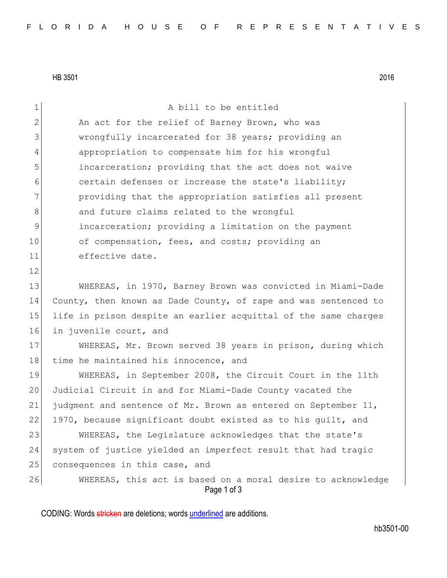HB 3501 2016

| $\mathbf 1$  | A bill to be entitled                                                      |
|--------------|----------------------------------------------------------------------------|
| $\mathbf{2}$ | An act for the relief of Barney Brown, who was                             |
| 3            | wrongfully incarcerated for 38 years; providing an                         |
| 4            | appropriation to compensate him for his wrongful                           |
| 5            | incarceration; providing that the act does not waive                       |
| 6            | certain defenses or increase the state's liability;                        |
| 7            | providing that the appropriation satisfies all present                     |
| $8\,$        | and future claims related to the wrongful                                  |
| $\mathsf 9$  | incarceration; providing a limitation on the payment                       |
| 10           | of compensation, fees, and costs; providing an                             |
| 11           | effective date.                                                            |
| 12           |                                                                            |
| 13           | WHEREAS, in 1970, Barney Brown was convicted in Miami-Dade                 |
| 14           | County, then known as Dade County, of rape and was sentenced to            |
| 15           | life in prison despite an earlier acquittal of the same charges            |
| 16           | in juvenile court, and                                                     |
| 17           | WHEREAS, Mr. Brown served 38 years in prison, during which                 |
| 18           | time he maintained his innocence, and                                      |
| 19           | WHEREAS, in September 2008, the Circuit Court in the 11th                  |
| 20           | Judicial Circuit in and for Miami-Dade County vacated the                  |
| 21           | judgment and sentence of Mr. Brown as entered on September 11,             |
| 22           | 1970, because significant doubt existed as to his guilt, and               |
| 23           | WHEREAS, the Legislature acknowledges that the state's                     |
| 24           | system of justice yielded an imperfect result that had tragic              |
| 25           | consequences in this case, and                                             |
| 26           | WHEREAS, this act is based on a moral desire to acknowledge<br>Page 1 of 3 |

CODING: Words stricken are deletions; words underlined are additions.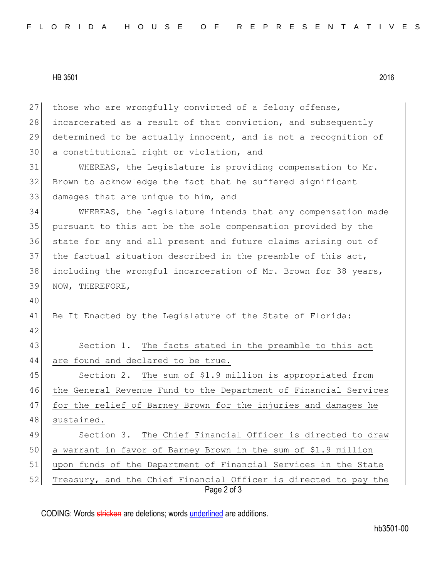HB 3501 2016

Page 2 of 3 27 those who are wrongfully convicted of a felony offense, 28 incarcerated as a result of that conviction, and subsequently 29 determined to be actually innocent, and is not a recognition of 30 a constitutional right or violation, and 31 WHEREAS, the Legislature is providing compensation to Mr. 32 Brown to acknowledge the fact that he suffered significant 33 damages that are unique to him, and 34 WHEREAS, the Legislature intends that any compensation made 35 pursuant to this act be the sole compensation provided by the 36 state for any and all present and future claims arising out of 37 the factual situation described in the preamble of this act, 38 including the wrongful incarceration of Mr. Brown for 38 years, 39 NOW, THEREFORE, 40 41 Be It Enacted by the Legislature of the State of Florida: 42 43 Section 1. The facts stated in the preamble to this act 44 are found and declared to be true. 45 Section 2. The sum of \$1.9 million is appropriated from 46 the General Revenue Fund to the Department of Financial Services 47 for the relief of Barney Brown for the injuries and damages he 48 sustained. 49 Section 3. The Chief Financial Officer is directed to draw 50 a warrant in favor of Barney Brown in the sum of \$1.9 million 51 upon funds of the Department of Financial Services in the State 52 Treasury, and the Chief Financial Officer is directed to pay the

CODING: Words stricken are deletions; words underlined are additions.